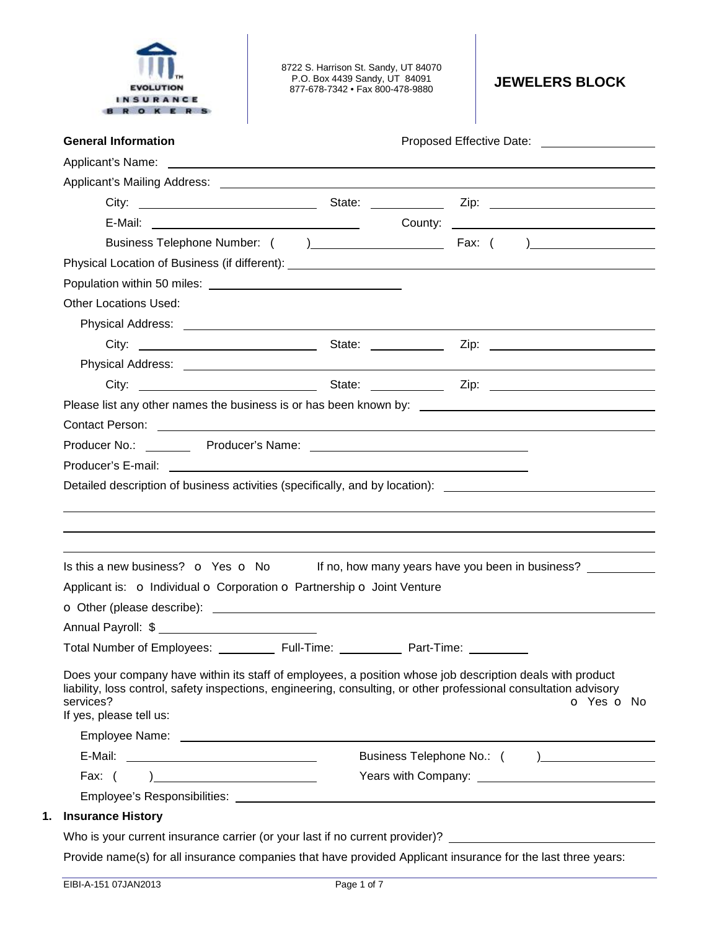

8722 S. Harrison St. Sandy, UT 84070 P.O. Box 4439 Sandy, UT 84091 P.O. Box 4439 Sandy, UT 84091 **JEWELERS BLOCK** 877-678-7342 • Fax 800-478-9880

| <b>General Information</b>                                                                                                                                                                                                                                                                                     |  |  |  |  |  |  |            |
|----------------------------------------------------------------------------------------------------------------------------------------------------------------------------------------------------------------------------------------------------------------------------------------------------------------|--|--|--|--|--|--|------------|
|                                                                                                                                                                                                                                                                                                                |  |  |  |  |  |  |            |
|                                                                                                                                                                                                                                                                                                                |  |  |  |  |  |  |            |
|                                                                                                                                                                                                                                                                                                                |  |  |  |  |  |  |            |
|                                                                                                                                                                                                                                                                                                                |  |  |  |  |  |  |            |
|                                                                                                                                                                                                                                                                                                                |  |  |  |  |  |  |            |
|                                                                                                                                                                                                                                                                                                                |  |  |  |  |  |  |            |
|                                                                                                                                                                                                                                                                                                                |  |  |  |  |  |  |            |
| <b>Other Locations Used:</b>                                                                                                                                                                                                                                                                                   |  |  |  |  |  |  |            |
|                                                                                                                                                                                                                                                                                                                |  |  |  |  |  |  |            |
|                                                                                                                                                                                                                                                                                                                |  |  |  |  |  |  |            |
|                                                                                                                                                                                                                                                                                                                |  |  |  |  |  |  |            |
|                                                                                                                                                                                                                                                                                                                |  |  |  |  |  |  |            |
| Please list any other names the business is or has been known by: __________________________________                                                                                                                                                                                                           |  |  |  |  |  |  |            |
| Contact Person: example and a series of the series of the series of the series of the series of the series of the series of the series of the series of the series of the series of the series of the series of the series of                                                                                  |  |  |  |  |  |  |            |
|                                                                                                                                                                                                                                                                                                                |  |  |  |  |  |  |            |
|                                                                                                                                                                                                                                                                                                                |  |  |  |  |  |  |            |
| Detailed description of business activities (specifically, and by location): ________________________________                                                                                                                                                                                                  |  |  |  |  |  |  |            |
|                                                                                                                                                                                                                                                                                                                |  |  |  |  |  |  |            |
| Is this a new business? $\bullet$ Yes $\bullet$ No If no, how many years have you been in business?                                                                                                                                                                                                            |  |  |  |  |  |  |            |
|                                                                                                                                                                                                                                                                                                                |  |  |  |  |  |  |            |
| Applicant is: o Individual o Corporation o Partnership o Joint Venture<br>O Other (please describe): <u>example and contract and contract and contract and contract and contract and contract and contract and contract and contract and contract and contract and contract and contract and contract and </u> |  |  |  |  |  |  |            |
|                                                                                                                                                                                                                                                                                                                |  |  |  |  |  |  |            |
|                                                                                                                                                                                                                                                                                                                |  |  |  |  |  |  |            |
| Does your company have within its staff of employees, a position whose job description deals with product<br>liability, loss control, safety inspections, engineering, consulting, or other professional consultation advisory<br>services?<br>If yes, please tell us:                                         |  |  |  |  |  |  | o Yes o No |
|                                                                                                                                                                                                                                                                                                                |  |  |  |  |  |  |            |
|                                                                                                                                                                                                                                                                                                                |  |  |  |  |  |  |            |
| Fax: $( )$                                                                                                                                                                                                                                                                                                     |  |  |  |  |  |  |            |
| <b>Insurance History</b>                                                                                                                                                                                                                                                                                       |  |  |  |  |  |  |            |

Provide name(s) for all insurance companies that have provided Applicant insurance for the last three years: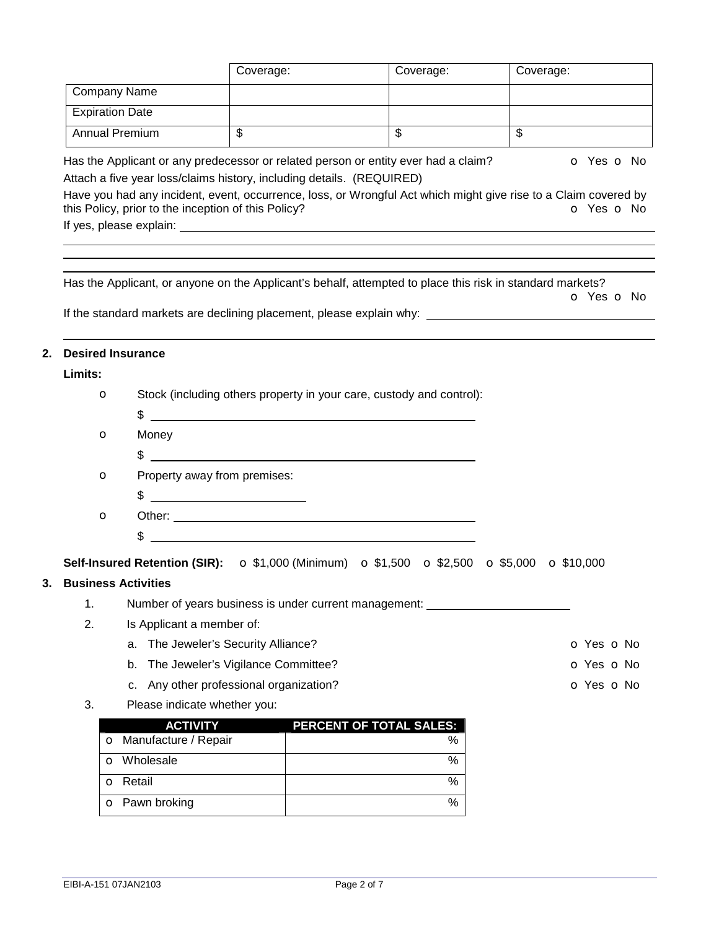|                   | <b>Company Name</b>                                 |                                                                       |                                                                                                                                                                                                       |                         |                          |
|-------------------|-----------------------------------------------------|-----------------------------------------------------------------------|-------------------------------------------------------------------------------------------------------------------------------------------------------------------------------------------------------|-------------------------|--------------------------|
|                   | <b>Expiration Date</b>                              |                                                                       |                                                                                                                                                                                                       |                         |                          |
|                   | <b>Annual Premium</b>                               | $\overline{\mathcal{S}}$                                              | $\overline{\mathcal{S}}$                                                                                                                                                                              | $\overline{\mathbb{S}}$ |                          |
|                   | this Policy, prior to the inception of this Policy? | Attach a five year loss/claims history, including details. (REQUIRED) | Has the Applicant or any predecessor or related person or entity ever had a claim?<br>Have you had any incident, event, occurrence, loss, or Wrongful Act which might give rise to a Claim covered by |                         | o Yes o No<br>O Yes O No |
|                   |                                                     |                                                                       |                                                                                                                                                                                                       |                         |                          |
|                   |                                                     |                                                                       | Has the Applicant, or anyone on the Applicant's behalf, attempted to place this risk in standard markets?                                                                                             |                         |                          |
|                   |                                                     |                                                                       |                                                                                                                                                                                                       |                         | O Yes O No               |
|                   |                                                     |                                                                       |                                                                                                                                                                                                       |                         |                          |
|                   | <b>Desired Insurance</b>                            |                                                                       |                                                                                                                                                                                                       |                         |                          |
| Limits:           |                                                     |                                                                       |                                                                                                                                                                                                       |                         |                          |
| $\mathbf{\Omega}$ |                                                     |                                                                       | Stock (including others property in your care, custody and control):                                                                                                                                  |                         |                          |
|                   |                                                     |                                                                       | $\frac{1}{2}$                                                                                                                                                                                         |                         |                          |
| $\mathbf{\Omega}$ | Money                                               |                                                                       |                                                                                                                                                                                                       |                         |                          |
|                   |                                                     |                                                                       | $\frac{1}{2}$                                                                                                                                                                                         |                         |                          |
| $\mathbf{\Omega}$ |                                                     | Property away from premises:                                          |                                                                                                                                                                                                       |                         |                          |
|                   |                                                     | $\qquad \qquad \$$                                                    |                                                                                                                                                                                                       |                         |                          |
| $\mathbf{\Omega}$ |                                                     |                                                                       |                                                                                                                                                                                                       |                         |                          |
|                   |                                                     |                                                                       | <u> 1989 - Johann Barn, mars ann an t-Amhain Aonaich an t-Aonaich an t-Aonaich ann an t-Aonaich ann an t-Aonaich</u>                                                                                  |                         |                          |
|                   |                                                     |                                                                       | Self-Insured Retention (SIR): ○ \$1,000 (Minimum) ○ \$1,500 ○ \$2,500 ○ \$5,000 ○ \$10,000                                                                                                            |                         |                          |
|                   | <b>Business Activities</b>                          |                                                                       |                                                                                                                                                                                                       |                         |                          |
| 1.                |                                                     |                                                                       | Number of years business is under current management: __________________________                                                                                                                      |                         |                          |
| 2.                | Is Applicant a member of:                           |                                                                       |                                                                                                                                                                                                       |                         |                          |
|                   | a.                                                  | The Jeweler's Security Alliance?                                      |                                                                                                                                                                                                       |                         | O Yes O No               |
|                   | b.                                                  | The Jeweler's Vigilance Committee?                                    |                                                                                                                                                                                                       |                         | <b>O</b> Yes <b>O</b> No |
|                   | c.                                                  | Any other professional organization?                                  |                                                                                                                                                                                                       |                         | o Yes o No               |
| 3.                | Please indicate whether you:                        |                                                                       |                                                                                                                                                                                                       |                         |                          |
|                   | <b>ACTIVITY</b>                                     |                                                                       | PERCENT OF TOTAL SALES:                                                                                                                                                                               |                         |                          |
|                   | O Manufacture / Repair                              |                                                                       | $\%$                                                                                                                                                                                                  |                         |                          |
|                   | o Wholesale                                         |                                                                       | %                                                                                                                                                                                                     |                         |                          |

Coverage: Coverage: Coverage: Coverage:

o Retail % o Pawn broking %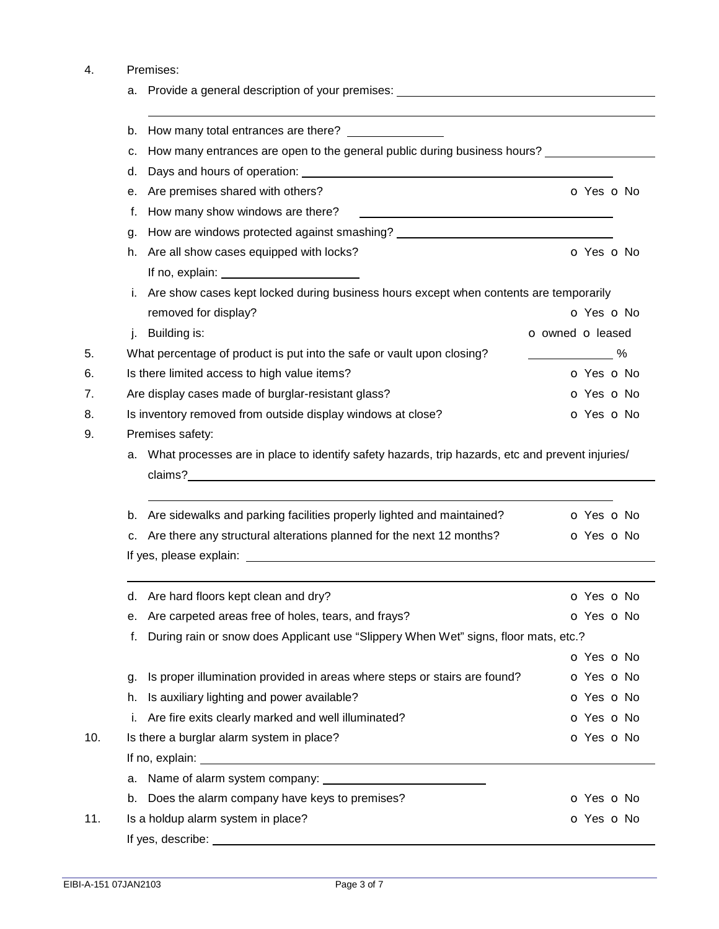## 4. Premises:

|     | Provide a general description of your premises: ________________________________<br>а.                |                  |
|-----|-------------------------------------------------------------------------------------------------------|------------------|
|     | b.                                                                                                    |                  |
|     | How many entrances are open to the general public during business hours?<br>c.                        |                  |
|     | d.                                                                                                    |                  |
|     | Are premises shared with others?<br>е.                                                                | o Yes o No       |
|     | How many show windows are there?<br>f.                                                                |                  |
|     | g.                                                                                                    |                  |
|     | Are all show cases equipped with locks?<br>h.                                                         | O Yes O No       |
|     |                                                                                                       |                  |
|     | i. Are show cases kept locked during business hours except when contents are temporarily              |                  |
|     | removed for display?                                                                                  | o Yes o No       |
|     | Building is:<br>j.                                                                                    | o owned o leased |
| 5.  | What percentage of product is put into the safe or vault upon closing?                                | %                |
| 6.  | Is there limited access to high value items?                                                          | O Yes O No       |
| 7.  | Are display cases made of burglar-resistant glass?                                                    | O Yes O No       |
| 8.  | Is inventory removed from outside display windows at close?                                           | o Yes o No       |
| 9.  | Premises safety:                                                                                      |                  |
|     | What processes are in place to identify safety hazards, trip hazards, etc and prevent injuries/<br>a. |                  |
|     | Are sidewalks and parking facilities properly lighted and maintained?<br>b.                           | o Yes o No       |
|     | c. Are there any structural alterations planned for the next 12 months?                               | O Yes O No       |
|     |                                                                                                       |                  |
|     | d. Are hard floors kept clean and dry?                                                                | O Yes O No       |
|     | e. Are carpeted areas free of holes, tears, and frays?                                                | O Yes O No       |
|     | During rain or snow does Applicant use "Slippery When Wet" signs, floor mats, etc.?<br>f.             |                  |
|     |                                                                                                       | o Yes o No       |
|     | Is proper illumination provided in areas where steps or stairs are found?<br>g.                       | O Yes O No       |
|     | Is auxiliary lighting and power available?<br>h.                                                      | o Yes o No       |
|     | Are fire exits clearly marked and well illuminated?<br>İ.                                             | o Yes o No       |
| 10. | Is there a burglar alarm system in place?                                                             | o Yes o No       |
|     |                                                                                                       |                  |
|     | а.                                                                                                    |                  |
|     | Does the alarm company have keys to premises?<br>b.                                                   | O Yes O No       |
| 11. | Is a holdup alarm system in place?                                                                    | o Yes o No       |
|     |                                                                                                       |                  |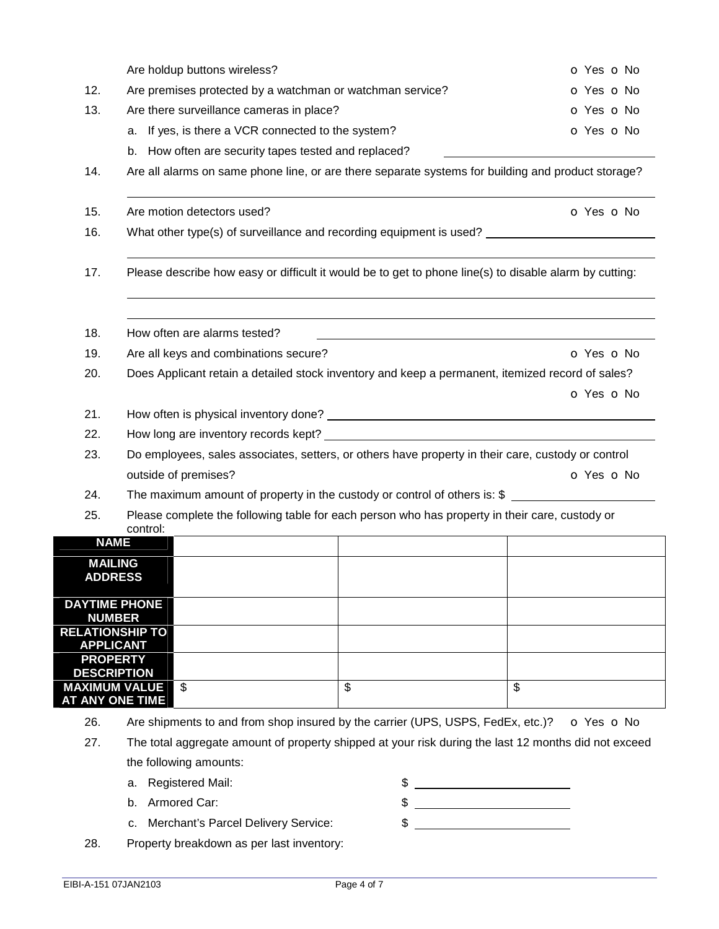|     | Are holdup buttons wireless?                              |                                                                                                        | O Yes O No |
|-----|-----------------------------------------------------------|--------------------------------------------------------------------------------------------------------|------------|
| 12. | Are premises protected by a watchman or watchman service? | o Yes o No                                                                                             |            |
| 13. | Are there surveillance cameras in place?                  |                                                                                                        | O Yes O No |
|     | a. If yes, is there a VCR connected to the system?        |                                                                                                        | o Yes o No |
|     | b. How often are security tapes tested and replaced?      |                                                                                                        |            |
| 14. |                                                           | Are all alarms on same phone line, or are there separate systems for building and product storage?     |            |
| 15. | Are motion detectors used?                                |                                                                                                        | O Yes O No |
| 16. |                                                           | What other type(s) of surveillance and recording equipment is used? ________________________________   |            |
| 17. |                                                           | Please describe how easy or difficult it would be to get to phone line(s) to disable alarm by cutting: |            |
| 18. | How often are alarms tested?                              |                                                                                                        |            |
| 19. | Are all keys and combinations secure?                     |                                                                                                        | O Yes O No |
| 20. |                                                           | Does Applicant retain a detailed stock inventory and keep a permanent, itemized record of sales?       |            |
|     |                                                           |                                                                                                        | O Yes O No |
| 21. |                                                           |                                                                                                        |            |
| 22. |                                                           |                                                                                                        |            |
| 23. |                                                           | Do employees, sales associates, setters, or others have property in their care, custody or control     |            |
|     | outside of premises?                                      |                                                                                                        | o Yes o No |
| 24. |                                                           | The maximum amount of property in the custody or control of others is: $\frac{1}{2}$                   |            |
| 25. | control:                                                  | Please complete the following table for each person who has property in their care, custody or         |            |
|     | <b>NAME</b>                                               |                                                                                                        |            |
|     | <b>MAILING</b><br><b>ADDRESS</b>                          |                                                                                                        |            |
|     | <b>DAYTIME PHONE</b><br><b>NUMBER</b>                     |                                                                                                        |            |
|     | <b>RELATIONSHIP TO</b><br><b>APPLICANT</b>                |                                                                                                        |            |
|     | <b>PROPERTY</b>                                           |                                                                                                        |            |
|     | <b>DESCRIPTION</b><br><b>MAXIMUM VALUE</b><br>\$          | \$                                                                                                     | \$         |
|     | AT ANY ONE TIME                                           |                                                                                                        |            |

- 26. Are shipments to and from shop insured by the carrier (UPS, USPS, FedEx, etc.)? o Yes o No
- 27. The total aggregate amount of property shipped at your risk during the last 12 months did not exceed the following amounts:
	-
	- b. Armored Car: \$
	- a. Registered Mail:  $\frac{1}{2}$   $\frac{1}{2}$   $\frac{1}{2}$   $\frac{1}{2}$   $\frac{1}{2}$   $\frac{1}{2}$   $\frac{1}{2}$   $\frac{1}{2}$   $\frac{1}{2}$   $\frac{1}{2}$   $\frac{1}{2}$   $\frac{1}{2}$   $\frac{1}{2}$   $\frac{1}{2}$   $\frac{1}{2}$   $\frac{1}{2}$   $\frac{1}{2}$   $\frac{1}{2}$   $\frac{1}{2}$   $\frac{1}{2}$   $\$
	- c. Merchant's Parcel Delivery Service:  $\qquad \qquad$  \$ \_\_\_\_\_\_\_\_\_\_\_\_\_\_\_\_\_\_\_\_\_\_\_\_\_\_\_\_\_\_
		-
- 28. Property breakdown as per last inventory: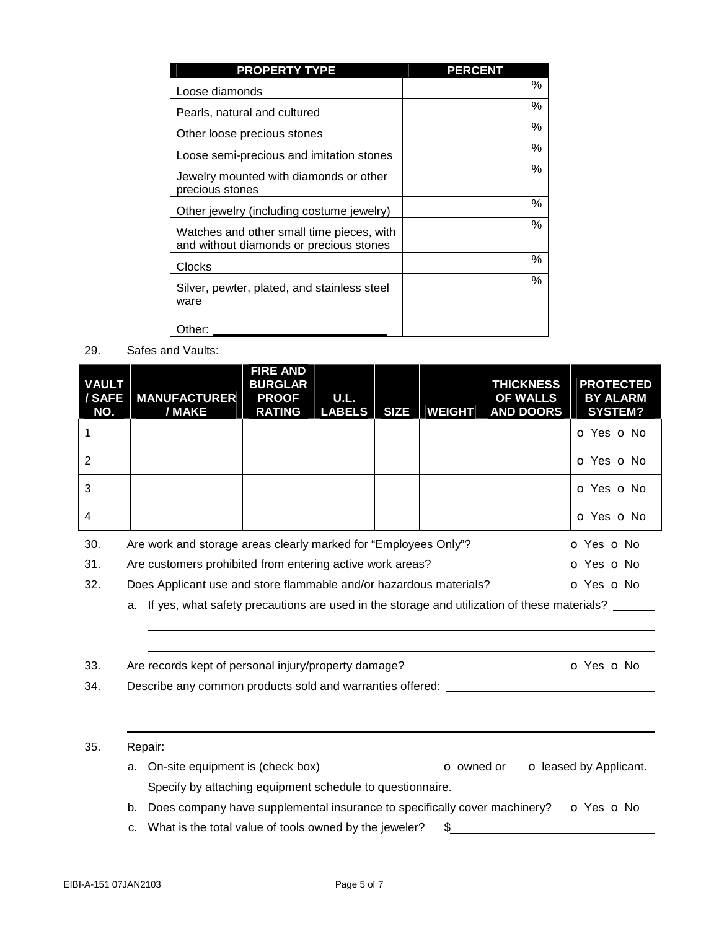| <b>PROPERTY TYPE</b>                                                                 | <b>PERCENT</b> |
|--------------------------------------------------------------------------------------|----------------|
| Loose diamonds                                                                       | $\%$           |
| Pearls, natural and cultured                                                         | $\%$           |
| Other loose precious stones                                                          | $\%$           |
| Loose semi-precious and imitation stones                                             | $\%$           |
| Jewelry mounted with diamonds or other<br>precious stones                            | $\%$           |
| Other jewelry (including costume jewelry)                                            | $\%$           |
| Watches and other small time pieces, with<br>and without diamonds or precious stones | %              |
| Clocks                                                                               | $\%$           |
| Silver, pewter, plated, and stainless steel<br>ware                                  | $\%$           |
| Other:                                                                               |                |

29. Safes and Vaults:

| <b>VAULT</b><br>/ SAFE<br>NO. | <b>MANUFACTURER</b><br>/ MAKE                                                 | <b>FIRE AND</b><br><b>BURGLAR</b><br><b>PROOF</b><br><b>RATING</b> | U.L.<br><b>LABELS</b> | <b>SIZE</b> | <b>WEIGHT</b> | <b>THICKNESS</b><br><b>OF WALLS</b><br><b>AND DOORS</b> | <b>PROTECTED</b><br><b>BY ALARM</b><br><b>SYSTEM?</b> |
|-------------------------------|-------------------------------------------------------------------------------|--------------------------------------------------------------------|-----------------------|-------------|---------------|---------------------------------------------------------|-------------------------------------------------------|
|                               |                                                                               |                                                                    |                       |             |               |                                                         | O Yes O No                                            |
| $\overline{2}$                |                                                                               |                                                                    |                       |             |               |                                                         | O Yes O No                                            |
| 3                             |                                                                               |                                                                    |                       |             |               |                                                         | O Yes O No                                            |
| $\overline{4}$                |                                                                               |                                                                    |                       |             |               |                                                         | O Yes O No                                            |
| 30.                           | Are work and storage areas clearly marked for "Employees Only"?<br>O Yes O No |                                                                    |                       |             |               |                                                         |                                                       |
| 31.                           | Are customers prohibited from entering active work areas?<br>O Yes O No       |                                                                    |                       |             |               |                                                         |                                                       |

32. Does Applicant use and store flammable and/or hazardous materials? **O** Yes **o** No

a. If yes, what safety precautions are used in the storage and utilization of these materials? \_\_\_\_\_\_

| Are records kept of personal injury/property damage? |  |
|------------------------------------------------------|--|
|                                                      |  |

34. Describe any common products sold and warranties offered:

## 35. Repair:

 

 

a. On-site equipment is (check box) **o** owned or **o** leased by Applicant. Specify by attaching equipment schedule to questionnaire.

 $\overline{\text{O}}$  Yes  $\overline{\text{O}}$  No

- b. Does company have supplemental insurance to specifically cover machinery?  $\bullet$  Yes  $\bullet$  No
- c. What is the total value of tools owned by the jeweler?  $$$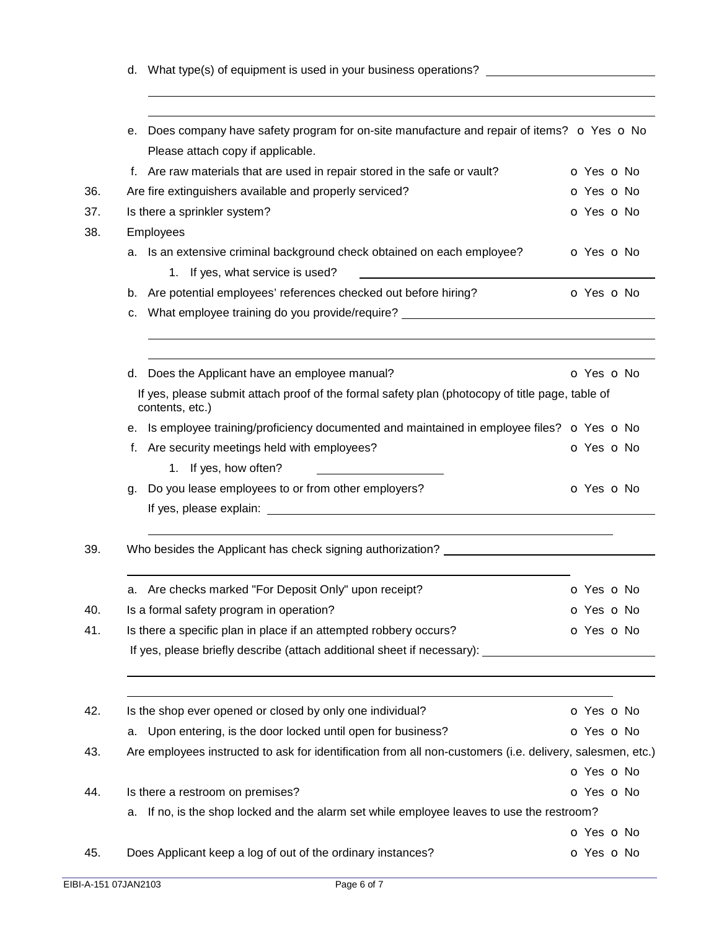d. What type(s) of equipment is used in your business operations? \_\_\_\_\_\_\_\_\_\_\_\_\_\_\_

|     | е. | Does company have safety program for on-site manufacture and repair of items? o Yes o No                           |                          |  |
|-----|----|--------------------------------------------------------------------------------------------------------------------|--------------------------|--|
|     |    | Please attach copy if applicable.                                                                                  |                          |  |
|     |    | f. Are raw materials that are used in repair stored in the safe or vault?                                          | O Yes O No               |  |
| 36. |    | Are fire extinguishers available and properly serviced?                                                            | O Yes O No               |  |
| 37. |    | Is there a sprinkler system?                                                                                       | o Yes o No               |  |
| 38. |    | Employees                                                                                                          |                          |  |
|     |    | a. Is an extensive criminal background check obtained on each employee?<br>1. If yes, what service is used?        | <b>O</b> Yes <b>O</b> No |  |
|     | b. | Are potential employees' references checked out before hiring?                                                     | O Yes O No               |  |
|     | с. | What employee training do you provide/require? _________________________________                                   |                          |  |
|     | d. | Does the Applicant have an employee manual?                                                                        | <b>O</b> Yes <b>O</b> No |  |
|     |    | If yes, please submit attach proof of the formal safety plan (photocopy of title page, table of<br>contents, etc.) |                          |  |
|     | е. | Is employee training/proficiency documented and maintained in employee files? o Yes o No                           |                          |  |
|     | f. | Are security meetings held with employees?                                                                         | o Yes o No               |  |
|     |    | 1. If yes, how often?                                                                                              |                          |  |
|     | g. | Do you lease employees to or from other employers?                                                                 | o Yes o No               |  |
|     |    |                                                                                                                    |                          |  |
|     |    | Who besides the Applicant has check signing authorization? ______________________                                  |                          |  |
|     |    | a. Are checks marked "For Deposit Only" upon receipt?                                                              | o Yes o No               |  |
|     |    | Is a formal safety program in operation?                                                                           | O Yes O No               |  |
|     |    | Is there a specific plan in place if an attempted robbery occurs?                                                  | o Yes o No               |  |
|     |    | If yes, please briefly describe (attach additional sheet if necessary): ____________________________               |                          |  |
| 42. |    | Is the shop ever opened or closed by only one individual?                                                          | o Yes o No               |  |
|     |    | a. Upon entering, is the door locked until open for business?                                                      | o Yes o No               |  |
|     |    | Are employees instructed to ask for identification from all non-customers (i.e. delivery, salesmen, etc.)          |                          |  |
|     |    |                                                                                                                    | o Yes o No               |  |
|     |    | Is there a restroom on premises?                                                                                   | o Yes o No               |  |
|     | а. | If no, is the shop locked and the alarm set while employee leaves to use the restroom?                             |                          |  |
|     |    |                                                                                                                    | o Yes o No               |  |
|     |    | Does Applicant keep a log of out of the ordinary instances?                                                        | o Yes o No               |  |
|     |    |                                                                                                                    |                          |  |